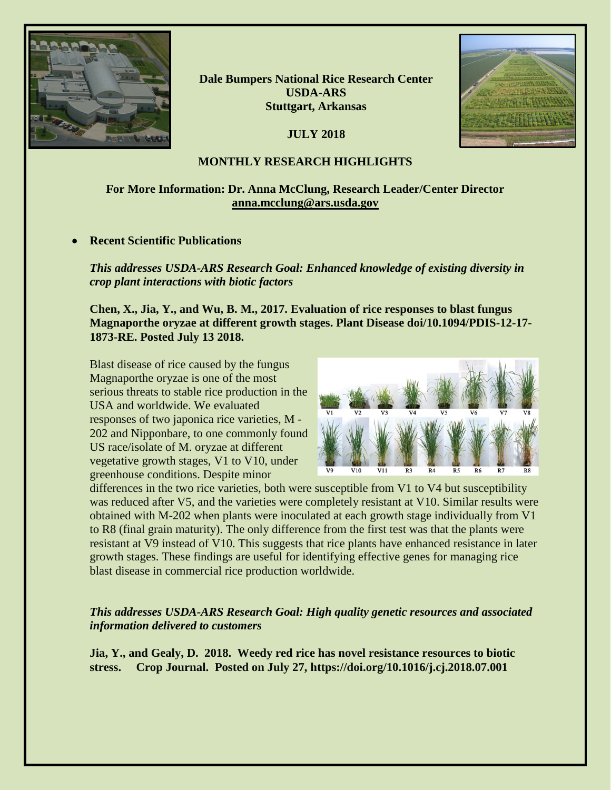

**Dale Bumpers National Rice Research Center USDA-ARS Stuttgart, Arkansas**

**JULY 2018**



## **MONTHLY RESEARCH HIGHLIGHTS**

# **For More Information: Dr. Anna McClung, Research Leader/Center Director [anna.mcclung@ars.usda.gov](mailto:anna.mcclung@ars.usda.gov)**

### • **Recent Scientific Publications**

*This addresses USDA-ARS Research Goal: Enhanced knowledge of existing diversity in crop plant interactions with biotic factors* 

**Chen, X., Jia, Y., and Wu, B. M., 2017. Evaluation of rice responses to blast fungus Magnaporthe oryzae at different growth stages. Plant Disease doi/10.1094/PDIS-12-17- 1873-RE. Posted July 13 2018.** 

Blast disease of rice caused by the fungus Magnaporthe oryzae is one of the most serious threats to stable rice production in the USA and worldwide. We evaluated responses of two japonica rice varieties, M - 202 and Nipponbare, to one commonly found US race/isolate of M. oryzae at different vegetative growth stages, V1 to V10, under greenhouse conditions. Despite minor



differences in the two rice varieties, both were susceptible from V1 to V4 but susceptibility was reduced after V5, and the varieties were completely resistant at V10. Similar results were obtained with M-202 when plants were inoculated at each growth stage individually from V1 to R8 (final grain maturity). The only difference from the first test was that the plants were resistant at V9 instead of V10. This suggests that rice plants have enhanced resistance in later growth stages. These findings are useful for identifying effective genes for managing rice blast disease in commercial rice production worldwide.

*This addresses USDA-ARS Research Goal: High quality genetic resources and associated information delivered to customers*

**Jia, Y., and Gealy, D. 2018. Weedy red rice has novel resistance resources to biotic stress. Crop Journal. Posted on July 27, https://doi.org/10.1016/j.cj.2018.07.001**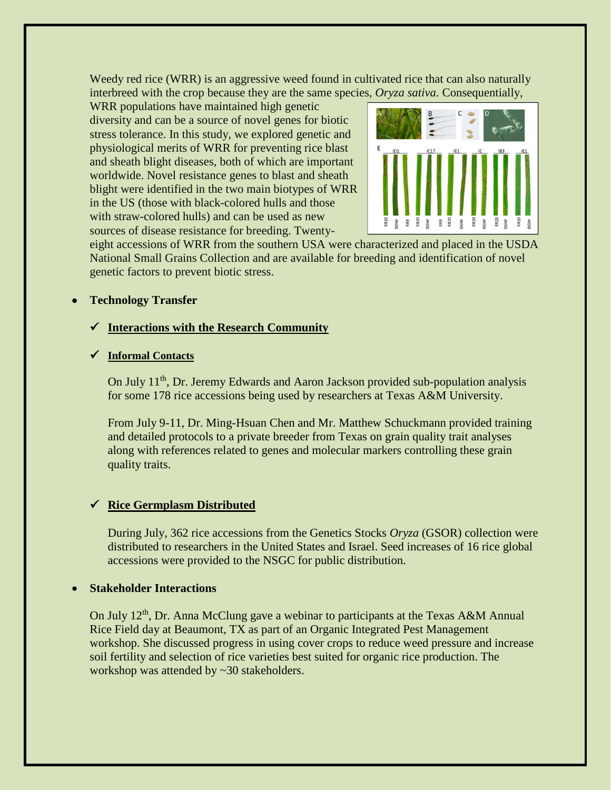Weedy red rice (WRR) is an aggressive weed found in cultivated rice that can also naturally interbreed with the crop because they are the same species, *Oryza sativa*. Consequentially,

WRR populations have maintained high genetic diversity and can be a source of novel genes for biotic stress tolerance. In this study, we explored genetic and physiological merits of WRR for preventing rice blast and sheath blight diseases, both of which are important worldwide. Novel resistance genes to blast and sheath blight were identified in the two main biotypes of WRR in the US (those with black-colored hulls and those with straw-colored hulls) and can be used as new sources of disease resistance for breeding. Twenty-



eight accessions of WRR from the southern USA were characterized and placed in the USDA National Small Grains Collection and are available for breeding and identification of novel genetic factors to prevent biotic stress.

## • **Technology Transfer**

### **Interactions with the Research Community**

### **Informal Contacts**

On July 11<sup>th</sup>, Dr. Jeremy Edwards and Aaron Jackson provided sub-population analysis for some 178 rice accessions being used by researchers at Texas A&M University.

From July 9-11, Dr. Ming-Hsuan Chen and Mr. Matthew Schuckmann provided training and detailed protocols to a private breeder from Texas on grain quality trait analyses along with references related to genes and molecular markers controlling these grain quality traits.

# **Rice Germplasm Distributed**

During July, 362 rice accessions from the Genetics Stocks *Oryza* (GSOR) collection were distributed to researchers in the United States and Israel. Seed increases of 16 rice global accessions were provided to the NSGC for public distribution.

### • **Stakeholder Interactions**

On July 12<sup>th</sup>, Dr. Anna McClung gave a webinar to participants at the Texas A&M Annual Rice Field day at Beaumont, TX as part of an Organic Integrated Pest Management workshop. She discussed progress in using cover crops to reduce weed pressure and increase soil fertility and selection of rice varieties best suited for organic rice production. The workshop was attended by ~30 stakeholders.